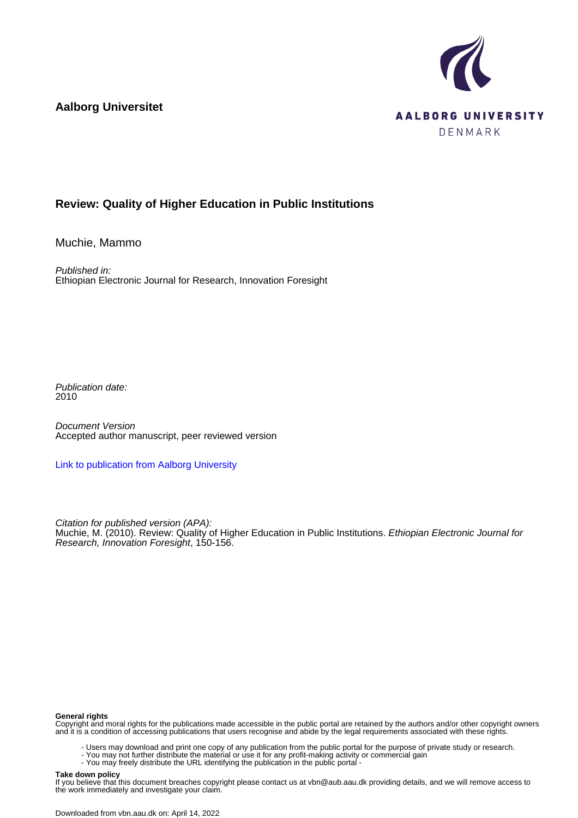**Aalborg Universitet**



## **Review: Quality of Higher Education in Public Institutions**

Muchie, Mammo

Published in: Ethiopian Electronic Journal for Research, Innovation Foresight

Publication date: 2010

Document Version Accepted author manuscript, peer reviewed version

[Link to publication from Aalborg University](https://vbn.aau.dk/en/publications/0fdbf5c4-d7dc-4d61-bc25-a72fa69cdacc)

Citation for published version (APA): Muchie, M. (2010). Review: Quality of Higher Education in Public Institutions. Ethiopian Electronic Journal for Research, Innovation Foresight, 150-156.

## **General rights**

Copyright and moral rights for the publications made accessible in the public portal are retained by the authors and/or other copyright owners and it is a condition of accessing publications that users recognise and abide by the legal requirements associated with these rights.

- Users may download and print one copy of any publication from the public portal for the purpose of private study or research.
- You may not further distribute the material or use it for any profit-making activity or commercial gain
- You may freely distribute the URL identifying the publication in the public portal -

## **Take down policy**

If you believe that this document breaches copyright please contact us at vbn@aub.aau.dk providing details, and we will remove access to the work immediately and investigate your claim.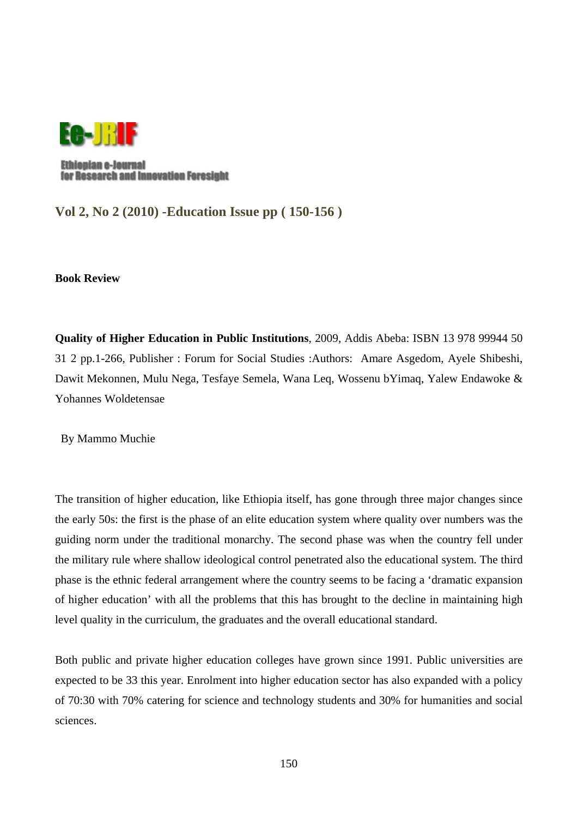

Ethiopian e-Journal for Research and Innovation Foresight

**Vol 2, No 2 (2010) -Education Issue pp ( 150-156 )** 

**Book Review** 

**Quality of Higher Education in Public Institutions**, 2009, Addis Abeba: ISBN 13 978 99944 50 31 2 pp.1-266, Publisher : Forum for Social Studies :Authors: Amare Asgedom, Ayele Shibeshi, Dawit Mekonnen, Mulu Nega, Tesfaye Semela, Wana Leq, Wossenu bYimaq, Yalew Endawoke & Yohannes Woldetensae

By Mammo Muchie

The transition of higher education, like Ethiopia itself, has gone through three major changes since the early 50s: the first is the phase of an elite education system where quality over numbers was the guiding norm under the traditional monarchy. The second phase was when the country fell under the military rule where shallow ideological control penetrated also the educational system. The third phase is the ethnic federal arrangement where the country seems to be facing a 'dramatic expansion of higher education' with all the problems that this has brought to the decline in maintaining high level quality in the curriculum, the graduates and the overall educational standard.

Both public and private higher education colleges have grown since 1991. Public universities are expected to be 33 this year. Enrolment into higher education sector has also expanded with a policy of 70:30 with 70% catering for science and technology students and 30% for humanities and social sciences.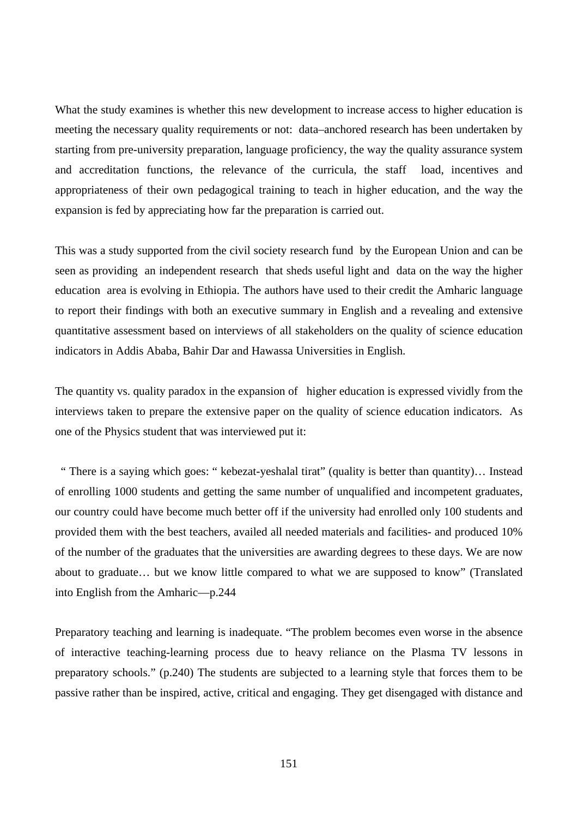What the study examines is whether this new development to increase access to higher education is meeting the necessary quality requirements or not: data–anchored research has been undertaken by starting from pre-university preparation, language proficiency, the way the quality assurance system and accreditation functions, the relevance of the curricula, the staff load, incentives and appropriateness of their own pedagogical training to teach in higher education, and the way the expansion is fed by appreciating how far the preparation is carried out.

This was a study supported from the civil society research fund by the European Union and can be seen as providing an independent research that sheds useful light and data on the way the higher education area is evolving in Ethiopia. The authors have used to their credit the Amharic language to report their findings with both an executive summary in English and a revealing and extensive quantitative assessment based on interviews of all stakeholders on the quality of science education indicators in Addis Ababa, Bahir Dar and Hawassa Universities in English.

The quantity vs. quality paradox in the expansion of higher education is expressed vividly from the interviews taken to prepare the extensive paper on the quality of science education indicators. As one of the Physics student that was interviewed put it:

 " There is a saying which goes: " kebezat-yeshalal tirat" (quality is better than quantity)… Instead of enrolling 1000 students and getting the same number of unqualified and incompetent graduates, our country could have become much better off if the university had enrolled only 100 students and provided them with the best teachers, availed all needed materials and facilities- and produced 10% of the number of the graduates that the universities are awarding degrees to these days. We are now about to graduate… but we know little compared to what we are supposed to know" (Translated into English from the Amharic—p.244

Preparatory teaching and learning is inadequate. "The problem becomes even worse in the absence of interactive teaching-learning process due to heavy reliance on the Plasma TV lessons in preparatory schools." (p.240) The students are subjected to a learning style that forces them to be passive rather than be inspired, active, critical and engaging. They get disengaged with distance and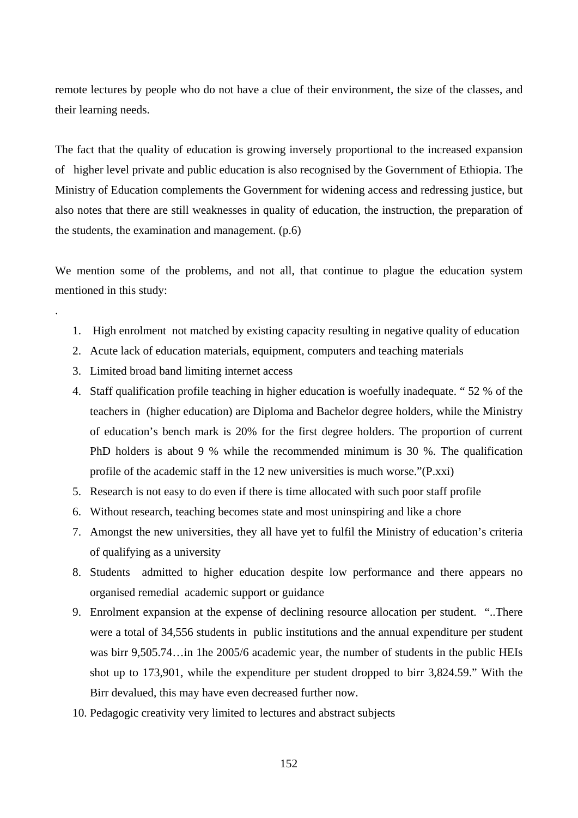remote lectures by people who do not have a clue of their environment, the size of the classes, and their learning needs.

The fact that the quality of education is growing inversely proportional to the increased expansion of higher level private and public education is also recognised by the Government of Ethiopia. The Ministry of Education complements the Government for widening access and redressing justice, but also notes that there are still weaknesses in quality of education, the instruction, the preparation of the students, the examination and management. (p.6)

We mention some of the problems, and not all, that continue to plague the education system mentioned in this study:

- 1. High enrolment not matched by existing capacity resulting in negative quality of education
- 2. Acute lack of education materials, equipment, computers and teaching materials
- 3. Limited broad band limiting internet access

.

- 4. Staff qualification profile teaching in higher education is woefully inadequate. " 52 % of the teachers in (higher education) are Diploma and Bachelor degree holders, while the Ministry of education's bench mark is 20% for the first degree holders. The proportion of current PhD holders is about 9 % while the recommended minimum is 30 %. The qualification profile of the academic staff in the 12 new universities is much worse."(P.xxi)
- 5. Research is not easy to do even if there is time allocated with such poor staff profile
- 6. Without research, teaching becomes state and most uninspiring and like a chore
- 7. Amongst the new universities, they all have yet to fulfil the Ministry of education's criteria of qualifying as a university
- 8. Students admitted to higher education despite low performance and there appears no organised remedial academic support or guidance
- 9. Enrolment expansion at the expense of declining resource allocation per student. "..There were a total of 34,556 students in public institutions and the annual expenditure per student was birr 9,505.74…in 1he 2005/6 academic year, the number of students in the public HEIs shot up to 173,901, while the expenditure per student dropped to birr 3,824.59." With the Birr devalued, this may have even decreased further now.
- 10. Pedagogic creativity very limited to lectures and abstract subjects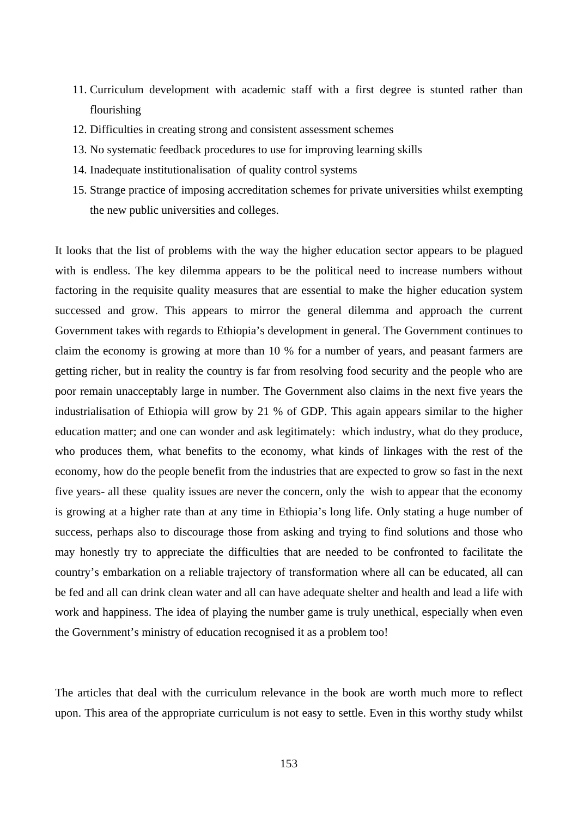- 11. Curriculum development with academic staff with a first degree is stunted rather than flourishing
- 12. Difficulties in creating strong and consistent assessment schemes
- 13. No systematic feedback procedures to use for improving learning skills
- 14. Inadequate institutionalisation of quality control systems
- 15. Strange practice of imposing accreditation schemes for private universities whilst exempting the new public universities and colleges.

It looks that the list of problems with the way the higher education sector appears to be plagued with is endless. The key dilemma appears to be the political need to increase numbers without factoring in the requisite quality measures that are essential to make the higher education system successed and grow. This appears to mirror the general dilemma and approach the current Government takes with regards to Ethiopia's development in general. The Government continues to claim the economy is growing at more than 10 % for a number of years, and peasant farmers are getting richer, but in reality the country is far from resolving food security and the people who are poor remain unacceptably large in number. The Government also claims in the next five years the industrialisation of Ethiopia will grow by 21 % of GDP. This again appears similar to the higher education matter; and one can wonder and ask legitimately: which industry, what do they produce, who produces them, what benefits to the economy, what kinds of linkages with the rest of the economy, how do the people benefit from the industries that are expected to grow so fast in the next five years- all these quality issues are never the concern, only the wish to appear that the economy is growing at a higher rate than at any time in Ethiopia's long life. Only stating a huge number of success, perhaps also to discourage those from asking and trying to find solutions and those who may honestly try to appreciate the difficulties that are needed to be confronted to facilitate the country's embarkation on a reliable trajectory of transformation where all can be educated, all can be fed and all can drink clean water and all can have adequate shelter and health and lead a life with work and happiness. The idea of playing the number game is truly unethical, especially when even the Government's ministry of education recognised it as a problem too!

The articles that deal with the curriculum relevance in the book are worth much more to reflect upon. This area of the appropriate curriculum is not easy to settle. Even in this worthy study whilst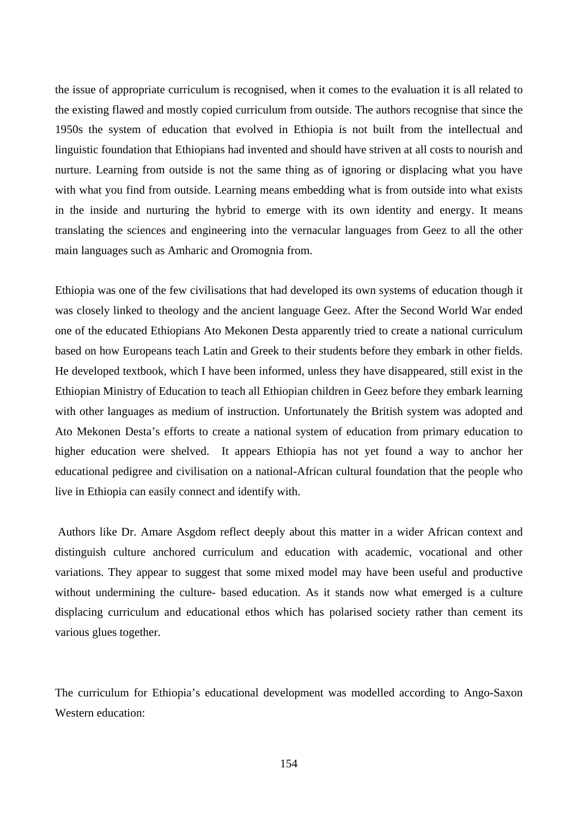the issue of appropriate curriculum is recognised, when it comes to the evaluation it is all related to the existing flawed and mostly copied curriculum from outside. The authors recognise that since the 1950s the system of education that evolved in Ethiopia is not built from the intellectual and linguistic foundation that Ethiopians had invented and should have striven at all costs to nourish and nurture. Learning from outside is not the same thing as of ignoring or displacing what you have with what you find from outside. Learning means embedding what is from outside into what exists in the inside and nurturing the hybrid to emerge with its own identity and energy. It means translating the sciences and engineering into the vernacular languages from Geez to all the other main languages such as Amharic and Oromognia from.

Ethiopia was one of the few civilisations that had developed its own systems of education though it was closely linked to theology and the ancient language Geez. After the Second World War ended one of the educated Ethiopians Ato Mekonen Desta apparently tried to create a national curriculum based on how Europeans teach Latin and Greek to their students before they embark in other fields. He developed textbook, which I have been informed, unless they have disappeared, still exist in the Ethiopian Ministry of Education to teach all Ethiopian children in Geez before they embark learning with other languages as medium of instruction. Unfortunately the British system was adopted and Ato Mekonen Desta's efforts to create a national system of education from primary education to higher education were shelved. It appears Ethiopia has not yet found a way to anchor her educational pedigree and civilisation on a national-African cultural foundation that the people who live in Ethiopia can easily connect and identify with.

 Authors like Dr. Amare Asgdom reflect deeply about this matter in a wider African context and distinguish culture anchored curriculum and education with academic, vocational and other variations. They appear to suggest that some mixed model may have been useful and productive without undermining the culture- based education. As it stands now what emerged is a culture displacing curriculum and educational ethos which has polarised society rather than cement its various glues together.

The curriculum for Ethiopia's educational development was modelled according to Ango-Saxon Western education: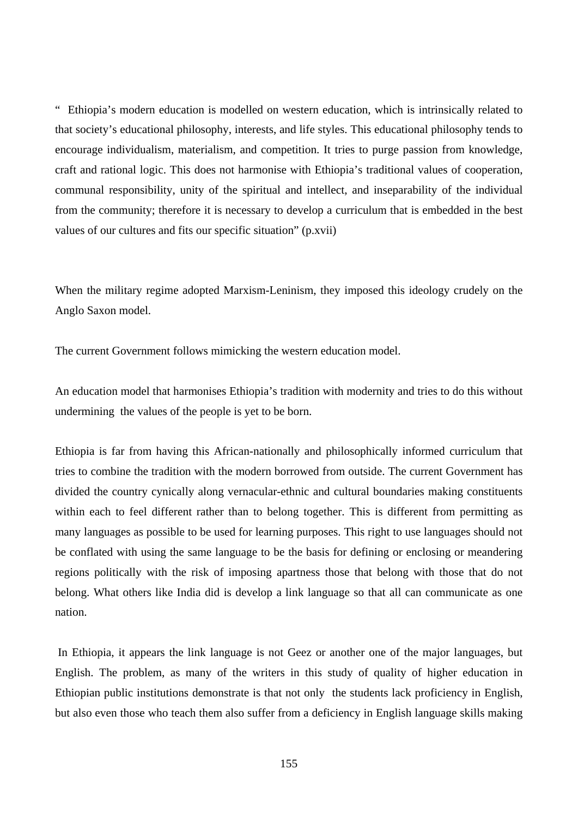" Ethiopia's modern education is modelled on western education, which is intrinsically related to that society's educational philosophy, interests, and life styles. This educational philosophy tends to encourage individualism, materialism, and competition. It tries to purge passion from knowledge, craft and rational logic. This does not harmonise with Ethiopia's traditional values of cooperation, communal responsibility, unity of the spiritual and intellect, and inseparability of the individual from the community; therefore it is necessary to develop a curriculum that is embedded in the best values of our cultures and fits our specific situation" (p.xvii)

When the military regime adopted Marxism-Leninism, they imposed this ideology crudely on the Anglo Saxon model.

The current Government follows mimicking the western education model.

An education model that harmonises Ethiopia's tradition with modernity and tries to do this without undermining the values of the people is yet to be born.

Ethiopia is far from having this African-nationally and philosophically informed curriculum that tries to combine the tradition with the modern borrowed from outside. The current Government has divided the country cynically along vernacular-ethnic and cultural boundaries making constituents within each to feel different rather than to belong together. This is different from permitting as many languages as possible to be used for learning purposes. This right to use languages should not be conflated with using the same language to be the basis for defining or enclosing or meandering regions politically with the risk of imposing apartness those that belong with those that do not belong. What others like India did is develop a link language so that all can communicate as one nation.

 In Ethiopia, it appears the link language is not Geez or another one of the major languages, but English. The problem, as many of the writers in this study of quality of higher education in Ethiopian public institutions demonstrate is that not only the students lack proficiency in English, but also even those who teach them also suffer from a deficiency in English language skills making